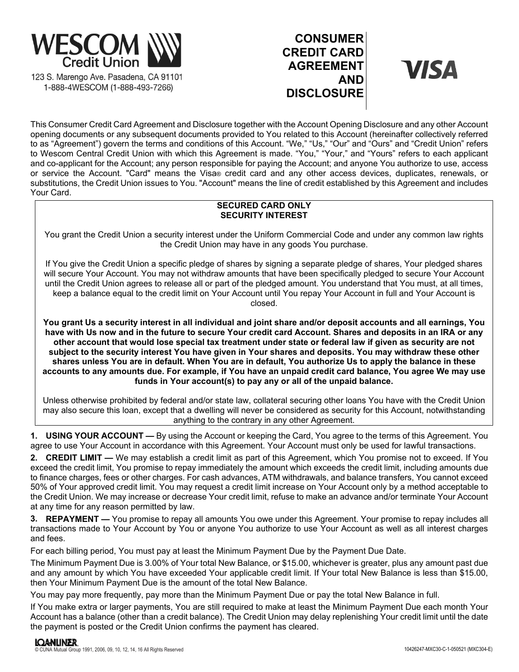

1-888-4WESCOM (1-888-493-7266)

# **CONSUMER CREDIT CARD AGREEMENT AND DISCLOSURE**

**VISA** 

This Consumer Credit Card Agreement and Disclosure together with the Account Opening Disclosure and any other Account opening documents or any subsequent documents provided to You related to this Account (hereinafter collectively referred to as "Agreement") govern the terms and conditions of this Account. "We," "Us," "Our" and "Ours" and "Credit Union" refers to Wescom Central Credit Union with which this Agreement is made. "You," "Your," and "Yours" refers to each applicant and co-applicant for the Account; any person responsible for paying the Account; and anyone You authorize to use, access or service the Account. "Card" means the Visa® credit card and any other access devices, duplicates, renewals, or substitutions, the Credit Union issues to You. "Account" means the line of credit established by this Agreement and includes Your Card.

# **SECURED CARD ONLY SECURITY INTEREST**

You grant the Credit Union a security interest under the Uniform Commercial Code and under any common law rights the Credit Union may have in any goods You purchase.

If You give the Credit Union a specific pledge of shares by signing a separate pledge of shares, Your pledged shares will secure Your Account. You may not withdraw amounts that have been specifically pledged to secure Your Account until the Credit Union agrees to release all or part of the pledged amount. You understand that You must, at all times, keep a balance equal to the credit limit on Your Account until You repay Your Account in full and Your Account is closed.

**You grant Us a security interest in all individual and joint share and/or deposit accounts and all earnings, You have with Us now and in the future to secure Your credit card Account. Shares and deposits in an IRA or any other account that would lose special tax treatment under state or federal law if given as security are not subject to the security interest You have given in Your shares and deposits. You may withdraw these other shares unless You are in default. When You are in default, You authorize Us to apply the balance in these accounts to any amounts due. For example, if You have an unpaid credit card balance, You agree We may use funds in Your account(s) to pay any or all of the unpaid balance.** 

Unless otherwise prohibited by federal and/or state law, collateral securing other loans You have with the Credit Union may also secure this loan, except that a dwelling will never be considered as security for this Account, notwithstanding anything to the contrary in any other Agreement.

**1. USING YOUR ACCOUNT —** By using the Account or keeping the Card, You agree to the terms of this Agreement. You agree to use Your Account in accordance with this Agreement. Your Account must only be used for lawful transactions.

**2. CREDIT LIMIT —** We may establish a credit limit as part of this Agreement, which You promise not to exceed. If You exceed the credit limit, You promise to repay immediately the amount which exceeds the credit limit, including amounts due to finance charges, fees or other charges. For cash advances, ATM withdrawals, and balance transfers, You cannot exceed 50% of Your approved credit limit. You may request a credit limit increase on Your Account only by a method acceptable to the Credit Union. We may increase or decrease Your credit limit, refuse to make an advance and/or terminate Your Account at any time for any reason permitted by law.

**3. REPAYMENT —** You promise to repay all amounts You owe under this Agreement. Your promise to repay includes all transactions made to Your Account by You or anyone You authorize to use Your Account as well as all interest charges and fees.

For each billing period, You must pay at least the Minimum Payment Due by the Payment Due Date.

The Minimum Payment Due is 3.00% of Your total New Balance, or \$15.00, whichever is greater, plus any amount past due and any amount by which You have exceeded Your applicable credit limit. If Your total New Balance is less than \$15.00, then Your Minimum Payment Due is the amount of the total New Balance.

You may pay more frequently, pay more than the Minimum Payment Due or pay the total New Balance in full.

If You make extra or larger payments, You are still required to make at least the Minimum Payment Due each month Your Account has a balance (other than a credit balance). The Credit Union may delay replenishing Your credit limit until the date the payment is posted or the Credit Union confirms the payment has cleared.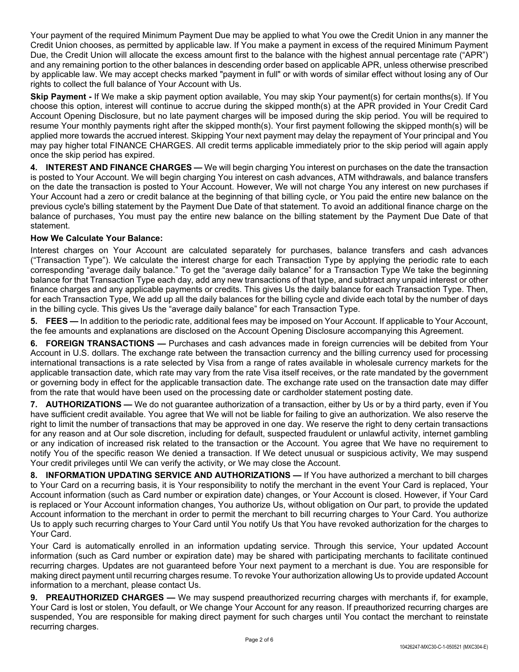Your payment of the required Minimum Payment Due may be applied to what You owe the Credit Union in any manner the Credit Union chooses, as permitted by applicable law. If You make a payment in excess of the required Minimum Payment Due, the Credit Union will allocate the excess amount first to the balance with the highest annual percentage rate ("APR") and any remaining portion to the other balances in descending order based on applicable APR, unless otherwise prescribed by applicable law. We may accept checks marked "payment in full" or with words of similar effect without losing any of Our rights to collect the full balance of Your Account with Us.

**Skip Payment -** If We make a skip payment option available, You may skip Your payment(s) for certain months(s). If You choose this option, interest will continue to accrue during the skipped month(s) at the APR provided in Your Credit Card Account Opening Disclosure, but no late payment charges will be imposed during the skip period. You will be required to resume Your monthly payments right after the skipped month(s). Your first payment following the skipped month(s) will be applied more towards the accrued interest. Skipping Your next payment may delay the repayment of Your principal and You may pay higher total FINANCE CHARGES. All credit terms applicable immediately prior to the skip period will again apply once the skip period has expired.

**4. INTEREST AND FINANCE CHARGES —** We will begin charging You interest on purchases on the date the transaction is posted to Your Account. We will begin charging You interest on cash advances, ATM withdrawals, and balance transfers on the date the transaction is posted to Your Account. However, We will not charge You any interest on new purchases if Your Account had a zero or credit balance at the beginning of that billing cycle, or You paid the entire new balance on the previous cycle's billing statement by the Payment Due Date of that statement. To avoid an additional finance charge on the balance of purchases, You must pay the entire new balance on the billing statement by the Payment Due Date of that statement.

# **How We Calculate Your Balance:**

Interest charges on Your Account are calculated separately for purchases, balance transfers and cash advances ("Transaction Type"). We calculate the interest charge for each Transaction Type by applying the periodic rate to each corresponding "average daily balance." To get the "average daily balance" for a Transaction Type We take the beginning balance for that Transaction Type each day, add any new transactions of that type, and subtract any unpaid interest or other finance charges and any applicable payments or credits. This gives Us the daily balance for each Transaction Type. Then, for each Transaction Type, We add up all the daily balances for the billing cycle and divide each total by the number of days in the billing cycle. This gives Us the "average daily balance" for each Transaction Type.

**5. FEES —** In addition to the periodic rate, additional fees may be imposed on Your Account. If applicable to Your Account, the fee amounts and explanations are disclosed on the Account Opening Disclosure accompanying this Agreement.

**6. FOREIGN TRANSACTIONS —** Purchases and cash advances made in foreign currencies will be debited from Your Account in U.S. dollars. The exchange rate between the transaction currency and the billing currency used for processing international transactions is a rate selected by Visa from a range of rates available in wholesale currency markets for the applicable transaction date, which rate may vary from the rate Visa itself receives, or the rate mandated by the government or governing body in effect for the applicable transaction date. The exchange rate used on the transaction date may differ from the rate that would have been used on the processing date or cardholder statement posting date.

**7. AUTHORIZATIONS —** We do not guarantee authorization of a transaction, either by Us or by a third party, even if You have sufficient credit available. You agree that We will not be liable for failing to give an authorization. We also reserve the right to limit the number of transactions that may be approved in one day. We reserve the right to deny certain transactions for any reason and at Our sole discretion, including for default, suspected fraudulent or unlawful activity, internet gambling or any indication of increased risk related to the transaction or the Account. You agree that We have no requirement to notify You of the specific reason We denied a transaction. If We detect unusual or suspicious activity, We may suspend Your credit privileges until We can verify the activity, or We may close the Account.

**8. INFORMATION UPDATING SERVICE AND AUTHORIZATIONS —** If You have authorized a merchant to bill charges to Your Card on a recurring basis, it is Your responsibility to notify the merchant in the event Your Card is replaced, Your Account information (such as Card number or expiration date) changes, or Your Account is closed. However, if Your Card is replaced or Your Account information changes, You authorize Us, without obligation on Our part, to provide the updated Account information to the merchant in order to permit the merchant to bill recurring charges to Your Card. You authorize Us to apply such recurring charges to Your Card until You notify Us that You have revoked authorization for the charges to Your Card.

Your Card is automatically enrolled in an information updating service. Through this service, Your updated Account information (such as Card number or expiration date) may be shared with participating merchants to facilitate continued recurring charges. Updates are not guaranteed before Your next payment to a merchant is due. You are responsible for making direct payment until recurring charges resume. To revoke Your authorization allowing Us to provide updated Account information to a merchant, please contact Us.

**9. PREAUTHORIZED CHARGES —** We may suspend preauthorized recurring charges with merchants if, for example, Your Card is lost or stolen, You default, or We change Your Account for any reason. If preauthorized recurring charges are suspended, You are responsible for making direct payment for such charges until You contact the merchant to reinstate recurring charges.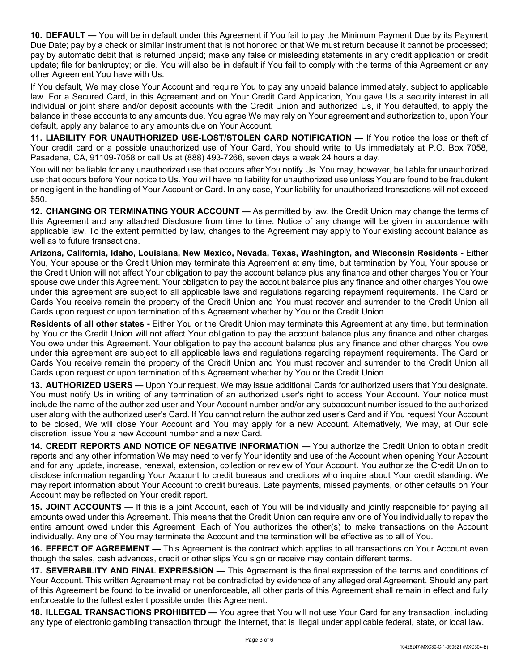**10. DEFAULT —** You will be in default under this Agreement if You fail to pay the Minimum Payment Due by its Payment Due Date; pay by a check or similar instrument that is not honored or that We must return because it cannot be processed; pay by automatic debit that is returned unpaid; make any false or misleading statements in any credit application or credit update; file for bankruptcy; or die. You will also be in default if You fail to comply with the terms of this Agreement or any other Agreement You have with Us.

If You default, We may close Your Account and require You to pay any unpaid balance immediately, subject to applicable law. For a Secured Card, in this Agreement and on Your Credit Card Application, You gave Us a security interest in all individual or joint share and/or deposit accounts with the Credit Union and authorized Us, if You defaulted, to apply the balance in these accounts to any amounts due. You agree We may rely on Your agreement and authorization to, upon Your default, apply any balance to any amounts due on Your Account.

**11. LIABILITY FOR UNAUTHORIZED USE-LOST/STOLEN CARD NOTIFICATION —** If You notice the loss or theft of Your credit card or a possible unauthorized use of Your Card, You should write to Us immediately at P.O. Box 7058, Pasadena, CA, 91109-7058 or call Us at (888) 493-7266, seven days a week 24 hours a day.

You will not be liable for any unauthorized use that occurs after You notify Us. You may, however, be liable for unauthorized use that occurs before Your notice to Us. You will have no liability for unauthorized use unless You are found to be fraudulent or negligent in the handling of Your Account or Card. In any case, Your liability for unauthorized transactions will not exceed \$50.

**12. CHANGING OR TERMINATING YOUR ACCOUNT —** As permitted by law, the Credit Union may change the terms of this Agreement and any attached Disclosure from time to time. Notice of any change will be given in accordance with applicable law. To the extent permitted by law, changes to the Agreement may apply to Your existing account balance as well as to future transactions.

**Arizona, California, Idaho, Louisiana, New Mexico, Nevada, Texas, Washington, and Wisconsin Residents -** Either You, Your spouse or the Credit Union may terminate this Agreement at any time, but termination by You, Your spouse or the Credit Union will not affect Your obligation to pay the account balance plus any finance and other charges You or Your spouse owe under this Agreement. Your obligation to pay the account balance plus any finance and other charges You owe under this agreement are subject to all applicable laws and regulations regarding repayment requirements. The Card or Cards You receive remain the property of the Credit Union and You must recover and surrender to the Credit Union all Cards upon request or upon termination of this Agreement whether by You or the Credit Union.

**Residents of all other states -** Either You or the Credit Union may terminate this Agreement at any time, but termination by You or the Credit Union will not affect Your obligation to pay the account balance plus any finance and other charges You owe under this Agreement. Your obligation to pay the account balance plus any finance and other charges You owe under this agreement are subject to all applicable laws and regulations regarding repayment requirements. The Card or Cards You receive remain the property of the Credit Union and You must recover and surrender to the Credit Union all Cards upon request or upon termination of this Agreement whether by You or the Credit Union.

**13. AUTHORIZED USERS —** Upon Your request, We may issue additional Cards for authorized users that You designate. You must notify Us in writing of any termination of an authorized user's right to access Your Account. Your notice must include the name of the authorized user and Your Account number and/or any subaccount number issued to the authorized user along with the authorized user's Card. If You cannot return the authorized user's Card and if You request Your Account to be closed, We will close Your Account and You may apply for a new Account. Alternatively, We may, at Our sole discretion, issue You a new Account number and a new Card.

**14. CREDIT REPORTS AND NOTICE OF NEGATIVE INFORMATION —** You authorize the Credit Union to obtain credit reports and any other information We may need to verify Your identity and use of the Account when opening Your Account and for any update, increase, renewal, extension, collection or review of Your Account. You authorize the Credit Union to disclose information regarding Your Account to credit bureaus and creditors who inquire about Your credit standing. We may report information about Your Account to credit bureaus. Late payments, missed payments, or other defaults on Your Account may be reflected on Your credit report.

**15. JOINT ACCOUNTS —** If this is a joint Account, each of You will be individually and jointly responsible for paying all amounts owed under this Agreement. This means that the Credit Union can require any one of You individually to repay the entire amount owed under this Agreement. Each of You authorizes the other(s) to make transactions on the Account individually. Any one of You may terminate the Account and the termination will be effective as to all of You.

**16. EFFECT OF AGREEMENT —** This Agreement is the contract which applies to all transactions on Your Account even though the sales, cash advances, credit or other slips You sign or receive may contain different terms.

**17. SEVERABILITY AND FINAL EXPRESSION —** This Agreement is the final expression of the terms and conditions of Your Account. This written Agreement may not be contradicted by evidence of any alleged oral Agreement. Should any part of this Agreement be found to be invalid or unenforceable, all other parts of this Agreement shall remain in effect and fully enforceable to the fullest extent possible under this Agreement.

**18. ILLEGAL TRANSACTIONS PROHIBITED —** You agree that You will not use Your Card for any transaction, including any type of electronic gambling transaction through the Internet, that is illegal under applicable federal, state, or local law.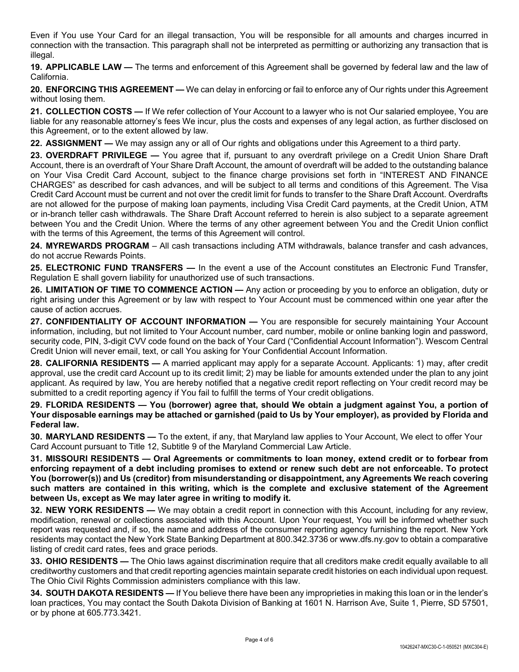Even if You use Your Card for an illegal transaction, You will be responsible for all amounts and charges incurred in connection with the transaction. This paragraph shall not be interpreted as permitting or authorizing any transaction that is illegal.

**19. APPLICABLE LAW —** The terms and enforcement of this Agreement shall be governed by federal law and the law of California.

**20. ENFORCING THIS AGREEMENT —** We can delay in enforcing or fail to enforce any of Our rights under this Agreement without losing them.

**21. COLLECTION COSTS —** If We refer collection of Your Account to a lawyer who is not Our salaried employee, You are liable for any reasonable attorney's fees We incur, plus the costs and expenses of any legal action, as further disclosed on this Agreement, or to the extent allowed by law.

**22. ASSIGNMENT —** We may assign any or all of Our rights and obligations under this Agreement to a third party.

**23. OVERDRAFT PRIVILEGE —** You agree that if, pursuant to any overdraft privilege on a Credit Union Share Draft Account, there is an overdraft of Your Share Draft Account, the amount of overdraft will be added to the outstanding balance on Your Visa Credit Card Account, subject to the finance charge provisions set forth in "INTEREST AND FINANCE CHARGES" as described for cash advances, and will be subject to all terms and conditions of this Agreement. The Visa Credit Card Account must be current and not over the credit limit for funds to transfer to the Share Draft Account. Overdrafts are not allowed for the purpose of making loan payments, including Visa Credit Card payments, at the Credit Union, ATM or in-branch teller cash withdrawals. The Share Draft Account referred to herein is also subject to a separate agreement between You and the Credit Union. Where the terms of any other agreement between You and the Credit Union conflict with the terms of this Agreement, the terms of this Agreement will control.

**24. MYREWARDS PROGRAM** – All cash transactions including ATM withdrawals, balance transfer and cash advances, do not accrue Rewards Points.

**25. ELECTRONIC FUND TRANSFERS —** In the event a use of the Account constitutes an Electronic Fund Transfer, Regulation E shall govern liability for unauthorized use of such transactions.

**26. LIMITATION OF TIME TO COMMENCE ACTION —** Any action or proceeding by you to enforce an obligation, duty or right arising under this Agreement or by law with respect to Your Account must be commenced within one year after the cause of action accrues.

27. CONFIDENTIALITY OF ACCOUNT INFORMATION — You are responsible for securely maintaining Your Account information, including, but not limited to Your Account number, card number, mobile or online banking login and password, security code, PIN, 3-digit CVV code found on the back of Your Card ("Confidential Account Information"). Wescom Central Credit Union will never email, text, or call You asking for Your Confidential Account Information.

**28. CALIFORNIA RESIDENTS —** A married applicant may apply for a separate Account. Applicants: 1) may, after credit approval, use the credit card Account up to its credit limit; 2) may be liable for amounts extended under the plan to any joint applicant. As required by law, You are hereby notified that a negative credit report reflecting on Your credit record may be submitted to a credit reporting agency if You fail to fulfill the terms of Your credit obligations.

**29. FLORIDA RESIDENTS — You (borrower) agree that, should We obtain a judgment against You, a portion of Your disposable earnings may be attached or garnished (paid to Us by Your employer), as provided by Florida and Federal law.**

**30. MARYLAND RESIDENTS —** To the extent, if any, that Maryland law applies to Your Account, We elect to offer Your Card Account pursuant to Title 12, Subtitle 9 of the Maryland Commercial Law Article.

**31. MISSOURI RESIDENTS — Oral Agreements or commitments to loan money, extend credit or to forbear from enforcing repayment of a debt including promises to extend or renew such debt are not enforceable. To protect You (borrower(s)) and Us (creditor) from misunderstanding or disappointment, any Agreements We reach covering such matters are contained in this writing, which is the complete and exclusive statement of the Agreement between Us, except as We may later agree in writing to modify it.** 

**32. NEW YORK RESIDENTS —** We may obtain a credit report in connection with this Account, including for any review, modification, renewal or collections associated with this Account. Upon Your request, You will be informed whether such report was requested and, if so, the name and address of the consumer reporting agency furnishing the report. New York residents may contact the New York State Banking Department at 800.342.3736 or www.dfs.ny.gov to obtain a comparative listing of credit card rates, fees and grace periods.

**33. OHIO RESIDENTS —** The Ohio laws against discrimination require that all creditors make credit equally available to all creditworthy customers and that credit reporting agencies maintain separate credit histories on each individual upon request. The Ohio Civil Rights Commission administers compliance with this law.

**34. SOUTH DAKOTA RESIDENTS —** If You believe there have been any improprieties in making this loan or in the lender's loan practices, You may contact the South Dakota Division of Banking at 1601 N. Harrison Ave, Suite 1, Pierre, SD 57501, or by phone at 605.773.3421.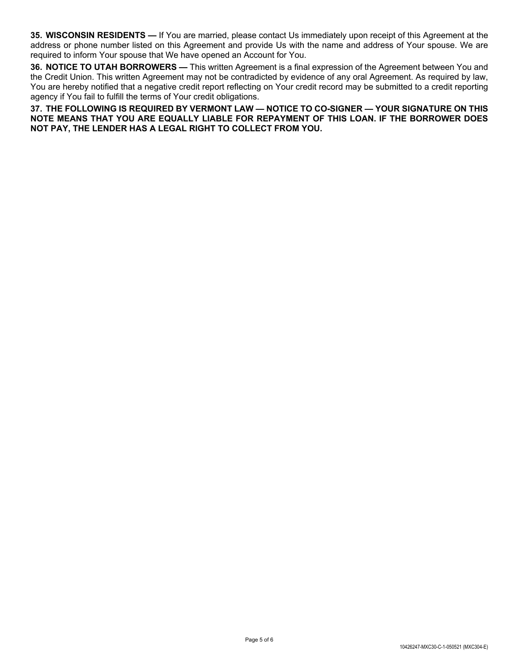**35. WISCONSIN RESIDENTS —** If You are married, please contact Us immediately upon receipt of this Agreement at the address or phone number listed on this Agreement and provide Us with the name and address of Your spouse. We are required to inform Your spouse that We have opened an Account for You.

**36. NOTICE TO UTAH BORROWERS —** This written Agreement is a final expression of the Agreement between You and the Credit Union. This written Agreement may not be contradicted by evidence of any oral Agreement. As required by law, You are hereby notified that a negative credit report reflecting on Your credit record may be submitted to a credit reporting agency if You fail to fulfill the terms of Your credit obligations.

**37. THE FOLLOWING IS REQUIRED BY VERMONT LAW — NOTICE TO CO-SIGNER — YOUR SIGNATURE ON THIS NOTE MEANS THAT YOU ARE EQUALLY LIABLE FOR REPAYMENT OF THIS LOAN. IF THE BORROWER DOES NOT PAY, THE LENDER HAS A LEGAL RIGHT TO COLLECT FROM YOU.**